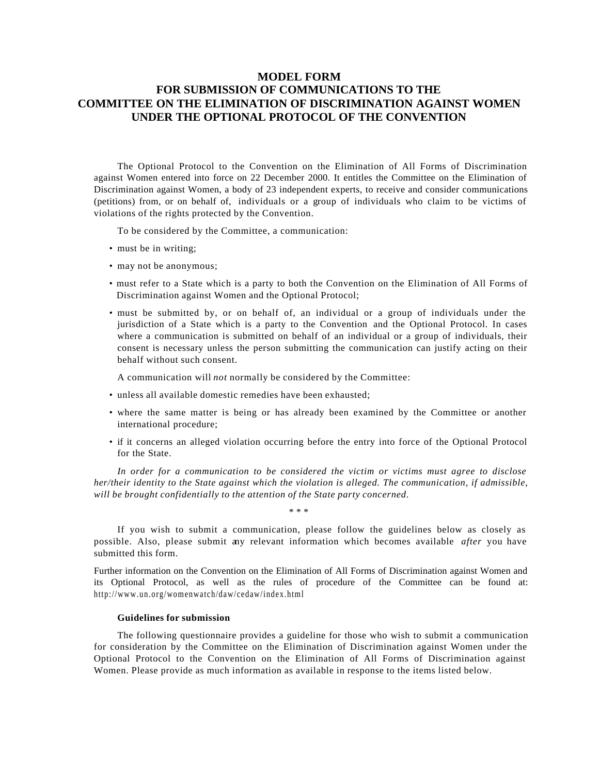# **MODEL FORM FOR SUBMISSION OF COMMUNICATIONS TO THE COMMITTEE ON THE ELIMINATION OF DISCRIMINATION AGAINST WOMEN UNDER THE OPTIONAL PROTOCOL OF THE CONVENTION**

The Optional Protocol to the Convention on the Elimination of All Forms of Discrimination against Women entered into force on 22 December 2000. It entitles the Committee on the Elimination of Discrimination against Women, a body of 23 independent experts, to receive and consider communications (petitions) from, or on behalf of, individuals or a group of individuals who claim to be victims of violations of the rights protected by the Convention.

To be considered by the Committee, a communication:

- must be in writing;
- may not be anonymous;
- must refer to a State which is a party to both the Convention on the Elimination of All Forms of Discrimination against Women and the Optional Protocol;
- must be submitted by, or on behalf of, an individual or a group of individuals under the jurisdiction of a State which is a party to the Convention and the Optional Protocol. In cases where a communication is submitted on behalf of an individual or a group of individuals, their consent is necessary unless the person submitting the communication can justify acting on their behalf without such consent.

A communication will *not* normally be considered by the Committee:

- unless all available domestic remedies have been exhausted;
- where the same matter is being or has already been examined by the Committee or another international procedure;
- if it concerns an alleged violation occurring before the entry into force of the Optional Protocol for the State.

*In order for a communication to be considered the victim or victims must agree to disclose her/their identity to the State against which the violation is alleged. The communication, if admissible, will be brought confidentially to the attention of the State party concerned.*

\* \* \*

If you wish to submit a communication, please follow the guidelines below as closely as possible. Also, please submit any relevant information which becomes available *after* you have submitted this form.

Further information on the Convention on the Elimination of All Forms of Discrimination against Women and its Optional Protocol, as well as the rules of procedure of the Committee can be found at: http://www.un.org/womenwatch/daw/cedaw/index.html

## **Guidelines for submission**

The following questionnaire provides a guideline for those who wish to submit a communication for consideration by the Committee on the Elimination of Discrimination against Women under the Optional Protocol to the Convention on the Elimination of All Forms of Discrimination against Women. Please provide as much information as available in response to the items listed below.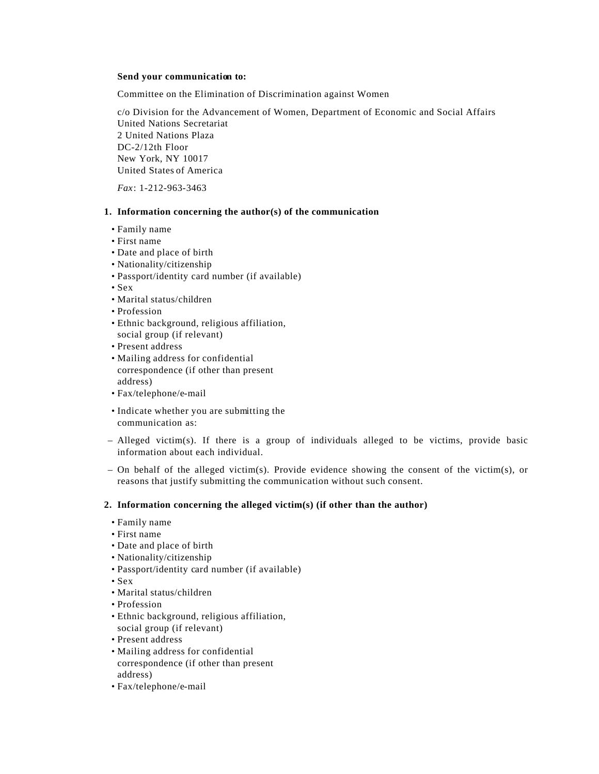## **Send your communication to:**

Committee on the Elimination of Discrimination against Women

c/o Division for the Advancement of Women, Department of Economic and Social Affairs United Nations Secretariat 2 United Nations Plaza DC-2/12th Floor New York, NY 10017 United States of America

*Fax*: 1-212-963-3463

#### **1. Information concerning the author(s) of the communication**

- Family name
- First name
- Date and place of birth
- Nationality/citizenship
- Passport/identity card number (if available)
- Sex
- Marital status/children
- Profession
- Ethnic background, religious affiliation, social group (if relevant)
- Present address
- Mailing address for confidential correspondence (if other than present address)
- Fax/telephone/e-mail
- Indicate whether you are submitting the communication as:
- Alleged victim(s). If there is a group of individuals alleged to be victims, provide basic information about each individual.
- On behalf of the alleged victim(s). Provide evidence showing the consent of the victim(s), or reasons that justify submitting the communication without such consent.

## **2. Information concerning the alleged victim(s) (if other than the author)**

- Family name
- First name
- Date and place of birth
- Nationality/citizenship
- Passport/identity card number (if available)
- Sex
- Marital status/children
- Profession
- Ethnic background, religious affiliation,
- social group (if relevant)
- Present address
- Mailing address for confidential correspondence (if other than present address)
- Fax/telephone/e-mail